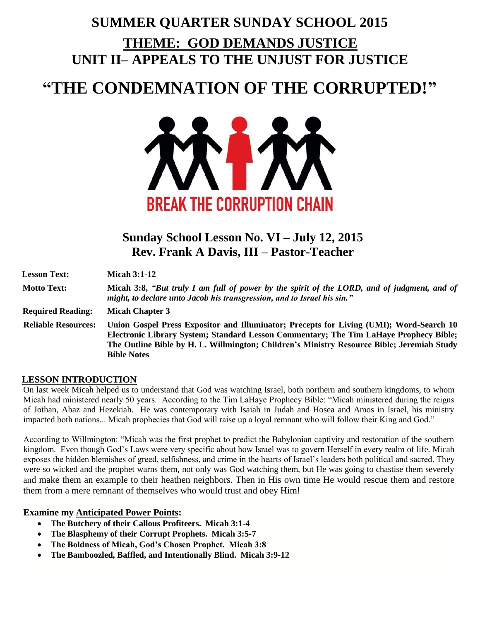## **SUMMER QUARTER SUNDAY SCHOOL 2015 THEME: GOD DEMANDS JUSTICE UNIT II– APPEALS TO THE UNJUST FOR JUSTICE**

# **"THE CONDEMNATION OF THE CORRUPTED!"**



### **Sunday School Lesson No. VI – July 12, 2015 Rev. Frank A Davis, III – Pastor-Teacher**

| <b>Lesson Text:</b>        | Micah $3:1-12$                                                                                                                                                                                                                                                                                       |
|----------------------------|------------------------------------------------------------------------------------------------------------------------------------------------------------------------------------------------------------------------------------------------------------------------------------------------------|
| <b>Motto Text:</b>         | Micah 3:8, "But truly I am full of power by the spirit of the LORD, and of judgment, and of<br>might, to declare unto Jacob his transgression, and to Israel his sin."                                                                                                                               |
| <b>Required Reading:</b>   | <b>Micah Chapter 3</b>                                                                                                                                                                                                                                                                               |
| <b>Reliable Resources:</b> | Union Gospel Press Expositor and Illuminator; Precepts for Living (UMI); Word-Search 10<br>Electronic Library System; Standard Lesson Commentary; The Tim LaHaye Prophecy Bible;<br>The Outline Bible by H. L. Willmington; Children's Ministry Resource Bible; Jeremiah Study<br><b>Bible Notes</b> |

#### **LESSON INTRODUCTION**

On last week Micah helped us to understand that God was watching Israel, both northern and southern kingdoms, to whom Micah had ministered nearly 50 years. According to the Tim LaHaye Prophecy Bible: "Micah ministered during the reigns of Jothan, Ahaz and Hezekiah. He was contemporary with Isaiah in Judah and Hosea and Amos in Israel, his ministry impacted both nations... Micah prophecies that God will raise up a loyal remnant who will follow their King and God."

According to Willmington: "Micah was the first prophet to predict the Babylonian captivity and restoration of the southern kingdom. Even though God's Laws were very specific about how Israel was to govern Herself in every realm of life. Micah exposes the hidden blemishes of greed, selfishness, and crime in the hearts of Israel's leaders both political and sacred. They were so wicked and the prophet warns them, not only was God watching them, but He was going to chastise them severely and make them an example to their heathen neighbors. Then in His own time He would rescue them and restore them from a mere remnant of themselves who would trust and obey Him!

#### **Examine my Anticipated Power Points:**

- **The Butchery of their Callous Profiteers. Micah 3:1-4**
- **The Blasphemy of their Corrupt Prophets. Micah 3:5-7**
- **The Boldness of Micah, God's Chosen Prophet. Micah 3:8**
- **The Bamboozled, Baffled, and Intentionally Blind. Micah 3:9-12**